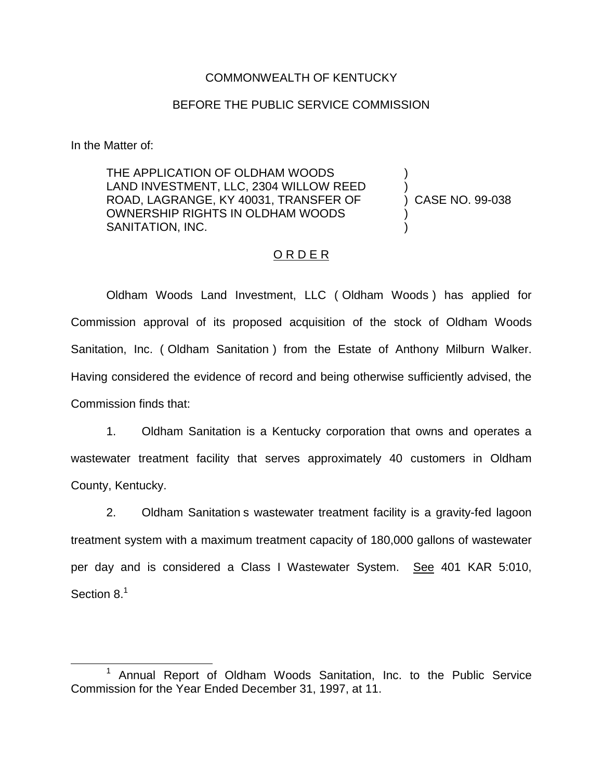## COMMONWEALTH OF KENTUCKY

## BEFORE THE PUBLIC SERVICE COMMISSION

In the Matter of:

THE APPLICATION OF OLDHAM WOODS LAND INVESTMENT, LLC, 2304 WILLOW REED ROAD, LAGRANGE, KY 40031, TRANSFER OF OWNERSHIP RIGHTS IN OLDHAM WOODS SANITATION, INC.

) CASE NO. 99-038

) )

) )

## ORDER

Oldham Woods Land Investment, LLC ( Oldham Woods ) has applied for Commission approval of its proposed acquisition of the stock of Oldham Woods Sanitation, Inc. ( Oldham Sanitation ) from the Estate of Anthony Milburn Walker. Having considered the evidence of record and being otherwise sufficiently advised, the Commission finds that:

1. Oldham Sanitation is a Kentucky corporation that owns and operates a wastewater treatment facility that serves approximately 40 customers in Oldham County, Kentucky.

2. Oldham Sanitation s wastewater treatment facility is a gravity-fed lagoon treatment system with a maximum treatment capacity of 180,000 gallons of wastewater per day and is considered a Class I Wastewater System. See 401 KAR 5:010, Section 8.<sup>1</sup>

<sup>1</sup> Annual Report of Oldham Woods Sanitation, Inc. to the Public Service Commission for the Year Ended December 31, 1997, at 11.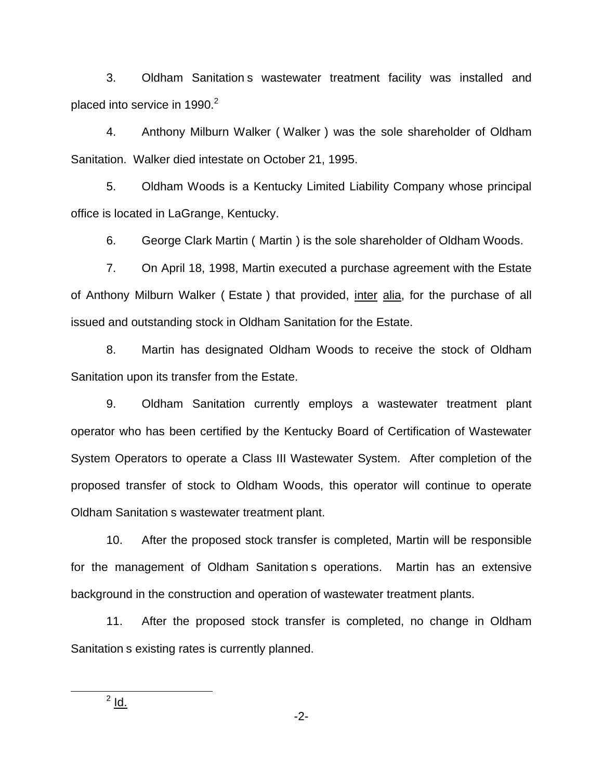3. Oldham Sanitation s wastewater treatment facility was installed and placed into service in 1990. $2$ 

4. Anthony Milburn Walker ( Walker ) was the sole shareholder of Oldham Sanitation. Walker died intestate on October 21, 1995.

5. Oldham Woods is a Kentucky Limited Liability Company whose principal office is located in LaGrange, Kentucky.

6. George Clark Martin ( Martin ) is the sole shareholder of Oldham Woods.

7. On April 18, 1998, Martin executed a purchase agreement with the Estate of Anthony Milburn Walker ( Estate ) that provided, inter alia, for the purchase of all issued and outstanding stock in Oldham Sanitation for the Estate.

8. Martin has designated Oldham Woods to receive the stock of Oldham Sanitation upon its transfer from the Estate.

9. Oldham Sanitation currently employs a wastewater treatment plant operator who has been certified by the Kentucky Board of Certification of Wastewater System Operators to operate a Class III Wastewater System. After completion of the proposed transfer of stock to Oldham Woods, this operator will continue to operate Oldham Sanitation s wastewater treatment plant.

10. After the proposed stock transfer is completed, Martin will be responsible for the management of Oldham Sanitation s operations. Martin has an extensive background in the construction and operation of wastewater treatment plants.

11. After the proposed stock transfer is completed, no change in Oldham Sanitation s existing rates is currently planned.

 $2$  Id.

-2-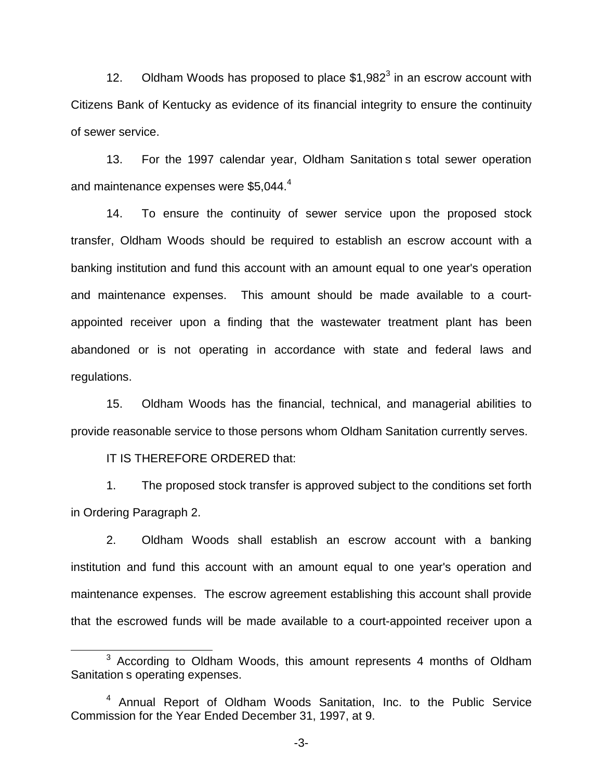12. Oldham Woods has proposed to place  $$1,982^3$  in an escrow account with Citizens Bank of Kentucky as evidence of its financial integrity to ensure the continuity of sewer service.

13. For the 1997 calendar year, Oldham Sanitation s total sewer operation and maintenance expenses were \$5,044.<sup>4</sup>

14. To ensure the continuity of sewer service upon the proposed stock transfer, Oldham Woods should be required to establish an escrow account with a banking institution and fund this account with an amount equal to one year's operation and maintenance expenses. This amount should be made available to a courtappointed receiver upon a finding that the wastewater treatment plant has been abandoned or is not operating in accordance with state and federal laws and regulations.

15. Oldham Woods has the financial, technical, and managerial abilities to provide reasonable service to those persons whom Oldham Sanitation currently serves.

IT IS THEREFORE ORDERED that:

1. The proposed stock transfer is approved subject to the conditions set forth in Ordering Paragraph 2.

2. Oldham Woods shall establish an escrow account with a banking institution and fund this account with an amount equal to one year's operation and maintenance expenses. The escrow agreement establishing this account shall provide that the escrowed funds will be made available to a court-appointed receiver upon a

<sup>&</sup>lt;sup>3</sup> According to Oldham Woods, this amount represents 4 months of Oldham Sanitation s operating expenses.

<sup>4</sup> Annual Report of Oldham Woods Sanitation, Inc. to the Public Service Commission for the Year Ended December 31, 1997, at 9.